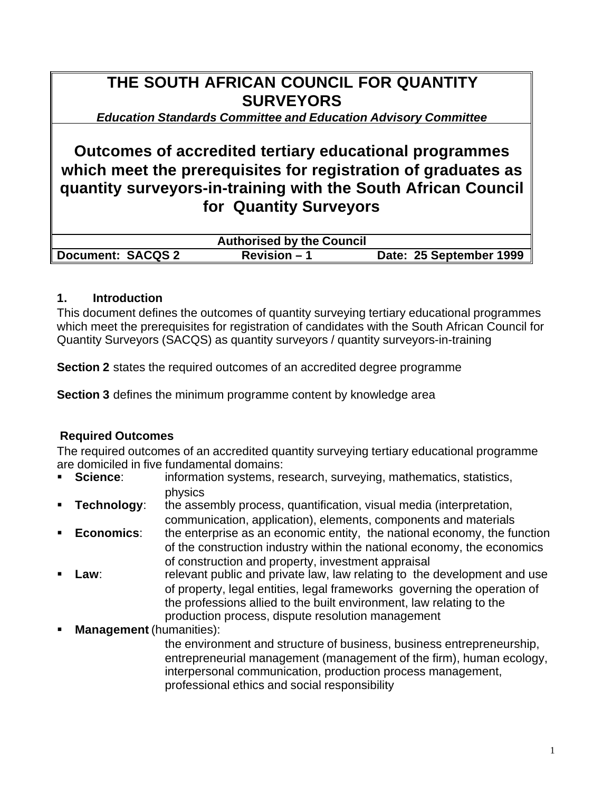# **THE SOUTH AFRICAN COUNCIL FOR QUANTITY SURVEYORS**

*Education Standards Committee and Education Advisory Committee*

# **Outcomes of accredited tertiary educational programmes which meet the prerequisites for registration of graduates as quantity surveyors-in-training with the South African Council for Quantity Surveyors**

|                          | <b>Authorised by the Council</b> |                         |
|--------------------------|----------------------------------|-------------------------|
| <b>Document: SACQS 2</b> | $Revision - 1$                   | Date: 25 September 1999 |

## **1. Introduction**

This document defines the outcomes of quantity surveying tertiary educational programmes which meet the prerequisites for registration of candidates with the South African Council for Quantity Surveyors (SACQS) as quantity surveyors / quantity surveyors-in-training

**Section 2** states the required outcomes of an accredited degree programme

**Section 3** defines the minimum programme content by knowledge area

## **Required Outcomes**

The required outcomes of an accredited quantity surveying tertiary educational programme are domiciled in five fundamental domains:

- **Science:** information systems, research, surveying, mathematics, statistics, physics
- **Technology:** the assembly process, quantification, visual media (interpretation, communication, application), elements, components and materials
- **Economics:** the enterprise as an economic entity, the national economy, the function of the construction industry within the national economy, the economics of construction and property, investment appraisal
- **Law:** relevant public and private law, law relating to the development and use of property, legal entities, legal frameworks governing the operation of the professions allied to the built environment, law relating to the production process, dispute resolution management
- ß **Management** (humanities):

the environment and structure of business, business entrepreneurship, entrepreneurial management (management of the firm), human ecology, interpersonal communication, production process management, professional ethics and social responsibility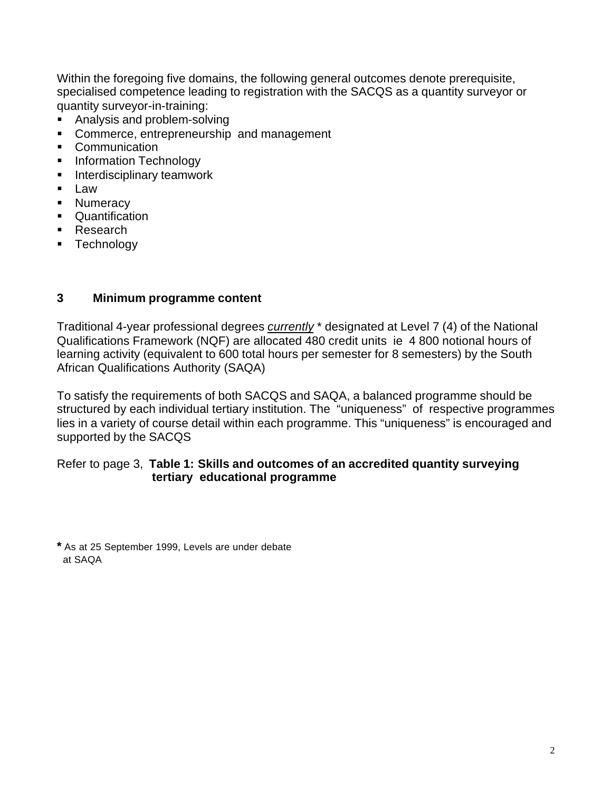Within the foregoing five domains, the following general outcomes denote prerequisite, specialised competence leading to registration with the SACQS as a quantity surveyor or quantity surveyor-in-training:

- ß Analysis and problem-solving
- **Commerce, entrepreneurship and management**
- Communication
- **Information Technology**
- **EXEC** Interdisciplinary teamwork
- $\blacksquare$  Law
- Numeracy
- Quantification
- Research
- **F** Technology

### **3 Minimum programme content**

Traditional 4-year professional degrees *currently* \* designated at Level 7 (4) of the National Qualifications Framework (NQF) are allocated 480 credit units ie 4 800 notional hours of learning activity (equivalent to 600 total hours per semester for 8 semesters) by the South African Qualifications Authority (SAQA)

To satisfy the requirements of both SACQS and SAQA, a balanced programme should be structured by each individual tertiary institution. The "uniqueness" of respective programmes lies in a variety of course detail within each programme. This "uniqueness" is encouraged and supported by the SACQS

#### Refer to page 3, **Table 1: Skills and outcomes of an accredited quantity surveying tertiary educational programme**

**\*** As at 25 September 1999, Levels are under debate at SAQA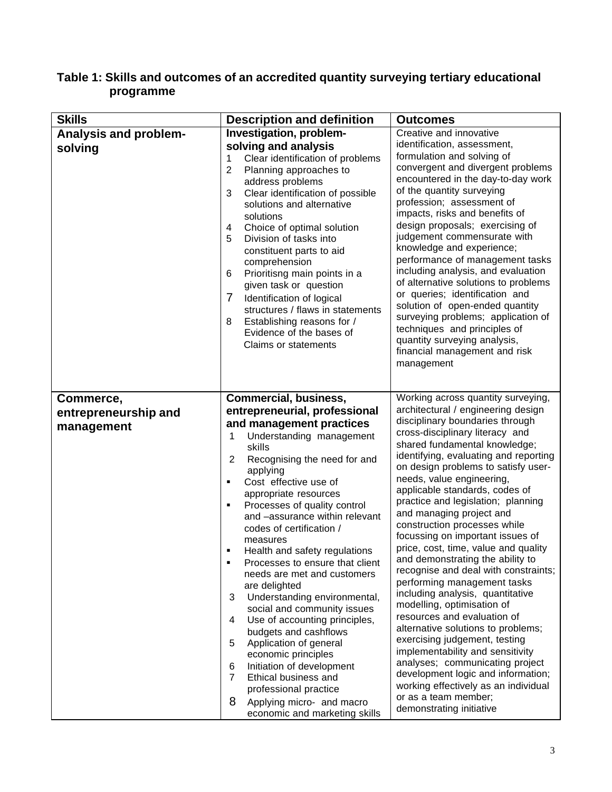#### **Table 1: Skills and outcomes of an accredited quantity surveying tertiary educational programme**

| <b>Skills</b>                                   | <b>Description and definition</b>                                                                                                                                                                                                                                                                                                                                                                                                                                                                                                                                                                                                                                                         | <b>Outcomes</b>                                                                                                                                                                                                                                                                                                                                                                                                                                                                                                                                                                                                                                                                                                                                                                                                                                                        |
|-------------------------------------------------|-------------------------------------------------------------------------------------------------------------------------------------------------------------------------------------------------------------------------------------------------------------------------------------------------------------------------------------------------------------------------------------------------------------------------------------------------------------------------------------------------------------------------------------------------------------------------------------------------------------------------------------------------------------------------------------------|------------------------------------------------------------------------------------------------------------------------------------------------------------------------------------------------------------------------------------------------------------------------------------------------------------------------------------------------------------------------------------------------------------------------------------------------------------------------------------------------------------------------------------------------------------------------------------------------------------------------------------------------------------------------------------------------------------------------------------------------------------------------------------------------------------------------------------------------------------------------|
| <b>Analysis and problem-</b><br>solving         | Investigation, problem-<br>solving and analysis<br>Clear identification of problems<br>1<br>$\overline{2}$<br>Planning approaches to<br>address problems<br>3<br>Clear identification of possible<br>solutions and alternative<br>solutions<br>Choice of optimal solution<br>4<br>Division of tasks into<br>5<br>constituent parts to aid<br>comprehension<br>Prioritisng main points in a<br>6<br>given task or question<br>7<br>Identification of logical<br>structures / flaws in statements<br>Establishing reasons for /<br>8<br>Evidence of the bases of<br><b>Claims or statements</b>                                                                                             | Creative and innovative<br>identification, assessment,<br>formulation and solving of<br>convergent and divergent problems<br>encountered in the day-to-day work<br>of the quantity surveying<br>profession; assessment of<br>impacts, risks and benefits of<br>design proposals; exercising of<br>judgement commensurate with<br>knowledge and experience;<br>performance of management tasks<br>including analysis, and evaluation<br>of alternative solutions to problems<br>or queries; identification and<br>solution of open-ended quantity<br>surveying problems; application of<br>techniques and principles of<br>quantity surveying analysis,<br>financial management and risk<br>management                                                                                                                                                                  |
| Commerce,<br>entrepreneurship and<br>management | <b>Commercial, business,</b><br>entrepreneurial, professional<br>and management practices<br>Understanding management<br>1<br>skills<br>$\overline{2}$<br>Recognising the need for and<br>applying<br>Cost effective use of<br>appropriate resources<br>Processes of quality control<br>٠<br>and -assurance within relevant<br>codes of certification /<br>measures<br>Health and safety regulations<br>Processes to ensure that client<br>needs are met and customers<br>are delighted<br>$\sqrt{3}$<br>Understanding environmental,<br>social and community issues<br>4<br>Use of accounting principles,<br>budgets and cashflows<br>5<br>Application of general<br>economic principles | Working across quantity surveying,<br>architectural / engineering design<br>disciplinary boundaries through<br>cross-disciplinary literacy and<br>shared fundamental knowledge;<br>identifying, evaluating and reporting<br>on design problems to satisfy user-<br>needs, value engineering,<br>applicable standards, codes of<br>practice and legislation; planning<br>and managing project and<br>construction processes while<br>focussing on important issues of<br>price, cost, time, value and quality<br>and demonstrating the ability to<br>recognise and deal with constraints;<br>performing management tasks<br>including analysis, quantitative<br>modelling, optimisation of<br>resources and evaluation of<br>alternative solutions to problems;<br>exercising judgement, testing<br>implementability and sensitivity<br>analyses; communicating project |
|                                                 | Initiation of development<br>6<br>$\overline{7}$<br>Ethical business and<br>professional practice<br>8<br>Applying micro- and macro<br>economic and marketing skills                                                                                                                                                                                                                                                                                                                                                                                                                                                                                                                      | development logic and information;<br>working effectively as an individual<br>or as a team member;<br>demonstrating initiative                                                                                                                                                                                                                                                                                                                                                                                                                                                                                                                                                                                                                                                                                                                                         |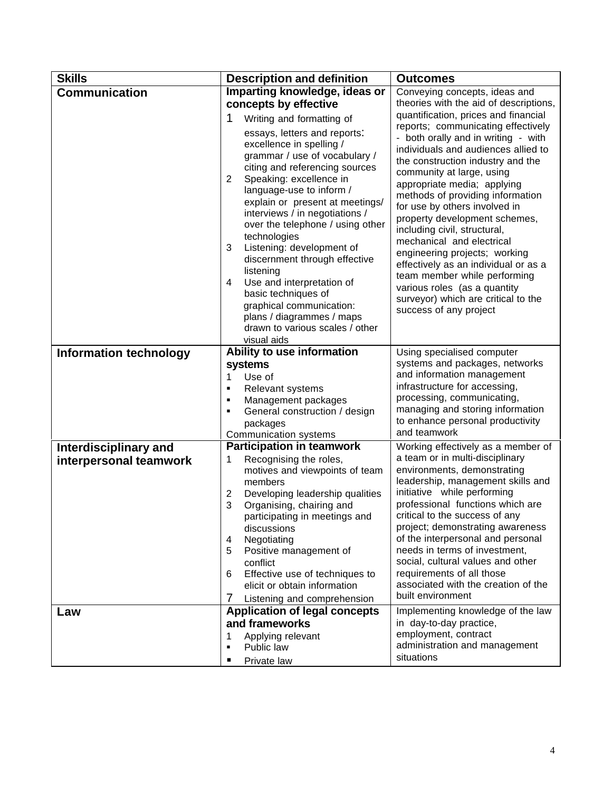| <b>Skills</b>                 | <b>Description and definition</b>                                           | <b>Outcomes</b>                                                           |  |
|-------------------------------|-----------------------------------------------------------------------------|---------------------------------------------------------------------------|--|
| <b>Communication</b>          | Imparting knowledge, ideas or                                               | Conveying concepts, ideas and<br>theories with the aid of descriptions,   |  |
|                               | concepts by effective                                                       |                                                                           |  |
|                               | 1<br>Writing and formatting of                                              | quantification, prices and financial                                      |  |
|                               | essays, letters and reports:                                                | reports; communicating effectively<br>- both orally and in writing - with |  |
|                               | excellence in spelling /                                                    | individuals and audiences allied to                                       |  |
|                               | grammar / use of vocabulary /                                               | the construction industry and the                                         |  |
|                               | citing and referencing sources<br>Speaking: excellence in<br>$\overline{2}$ | community at large, using                                                 |  |
|                               | language-use to inform /                                                    | appropriate media; applying                                               |  |
|                               | explain or present at meetings/                                             | methods of providing information<br>for use by others involved in         |  |
|                               | interviews / in negotiations /                                              | property development schemes,                                             |  |
|                               | over the telephone / using other                                            | including civil, structural,                                              |  |
|                               | technologies<br>Listening: development of<br>3                              | mechanical and electrical                                                 |  |
|                               | discernment through effective                                               | engineering projects; working                                             |  |
|                               | listening                                                                   | effectively as an individual or as a<br>team member while performing      |  |
|                               | Use and interpretation of<br>4                                              | various roles (as a quantity                                              |  |
|                               | basic techniques of                                                         | surveyor) which are critical to the                                       |  |
|                               | graphical communication:<br>plans / diagrammes / maps                       | success of any project                                                    |  |
|                               | drawn to various scales / other                                             |                                                                           |  |
|                               | visual aids                                                                 |                                                                           |  |
| <b>Information technology</b> | Ability to use information                                                  | Using specialised computer                                                |  |
|                               | systems                                                                     | systems and packages, networks                                            |  |
|                               | Use of<br>1                                                                 | and information management                                                |  |
|                               | Relevant systems<br>٠<br>٠                                                  | infrastructure for accessing,<br>processing, communicating,               |  |
|                               | Management packages<br>General construction / design<br>٠                   | managing and storing information                                          |  |
|                               | packages                                                                    | to enhance personal productivity                                          |  |
|                               | Communication systems                                                       | and teamwork                                                              |  |
| <b>Interdisciplinary and</b>  | <b>Participation in teamwork</b>                                            | Working effectively as a member of                                        |  |
| interpersonal teamwork        | Recognising the roles,<br>1                                                 | a team or in multi-disciplinary<br>environments, demonstrating            |  |
|                               | motives and viewpoints of team<br>members                                   | leadership, management skills and                                         |  |
|                               | 2<br>Developing leadership qualities                                        | initiative while performing                                               |  |
|                               | 3<br>Organising, chairing and                                               | professional functions which are                                          |  |
|                               | participating in meetings and                                               | critical to the success of any                                            |  |
|                               | discussions                                                                 | project; demonstrating awareness                                          |  |
|                               | Negotiating<br>4<br>5<br>Positive management of                             | of the interpersonal and personal<br>needs in terms of investment,        |  |
|                               | conflict                                                                    | social, cultural values and other                                         |  |
|                               | Effective use of techniques to<br>6                                         | requirements of all those                                                 |  |
|                               | elicit or obtain information                                                | associated with the creation of the                                       |  |
|                               | 7<br>Listening and comprehension                                            | built environment                                                         |  |
| Law                           | <b>Application of legal concepts</b>                                        | Implementing knowledge of the law                                         |  |
|                               | and frameworks                                                              | in day-to-day practice,<br>employment, contract                           |  |
|                               | Applying relevant<br>1<br>Public law<br>٠                                   | administration and management                                             |  |
|                               | Private law                                                                 | situations                                                                |  |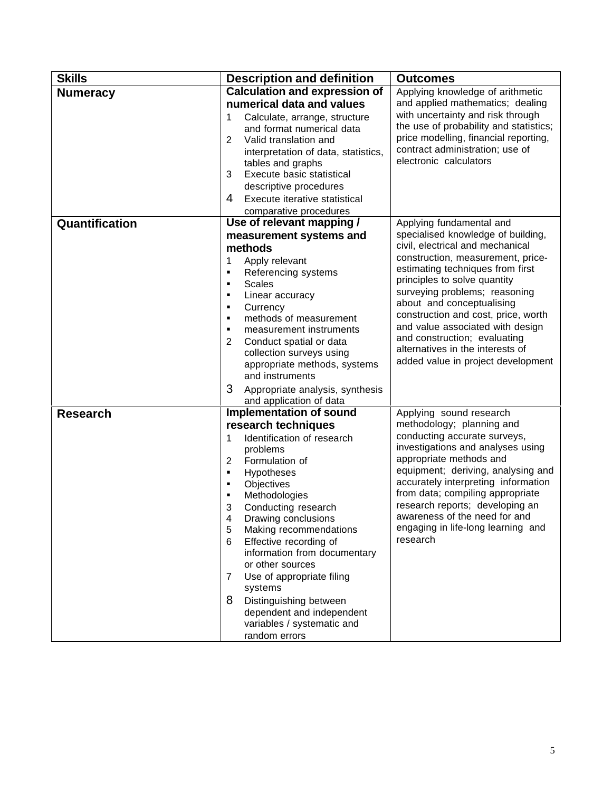| <b>Skills</b>   | <b>Description and definition</b>                               | <b>Outcomes</b>                                                          |  |
|-----------------|-----------------------------------------------------------------|--------------------------------------------------------------------------|--|
| <b>Numeracy</b> | <b>Calculation and expression of</b>                            | Applying knowledge of arithmetic                                         |  |
|                 | numerical data and values                                       | and applied mathematics; dealing                                         |  |
|                 | 1<br>Calculate, arrange, structure                              | with uncertainty and risk through                                        |  |
|                 | and format numerical data                                       | the use of probability and statistics;                                   |  |
|                 | 2<br>Valid translation and                                      | price modelling, financial reporting,<br>contract administration; use of |  |
|                 | interpretation of data, statistics,<br>tables and graphs        | electronic calculators                                                   |  |
|                 | Execute basic statistical<br>3                                  |                                                                          |  |
|                 | descriptive procedures                                          |                                                                          |  |
|                 | 4<br>Execute iterative statistical                              |                                                                          |  |
|                 | comparative procedures                                          |                                                                          |  |
| Quantification  | Use of relevant mapping /                                       | Applying fundamental and                                                 |  |
|                 | measurement systems and                                         | specialised knowledge of building,                                       |  |
|                 | methods                                                         | civil, electrical and mechanical                                         |  |
|                 | 1<br>Apply relevant                                             | construction, measurement, price-                                        |  |
|                 | ٠<br>Referencing systems                                        | estimating techniques from first<br>principles to solve quantity         |  |
|                 | <b>Scales</b><br>٠<br>٠                                         | surveying problems; reasoning                                            |  |
|                 | Linear accuracy<br>Currency<br>٠                                | about and conceptualising                                                |  |
|                 | methods of measurement<br>٠                                     | construction and cost, price, worth                                      |  |
|                 | measurement instruments<br>٠                                    | and value associated with design                                         |  |
|                 | 2<br>Conduct spatial or data                                    | and construction; evaluating                                             |  |
|                 | collection surveys using                                        | alternatives in the interests of                                         |  |
|                 | appropriate methods, systems                                    | added value in project development                                       |  |
|                 | and instruments                                                 |                                                                          |  |
|                 | 3<br>Appropriate analysis, synthesis<br>and application of data |                                                                          |  |
| <b>Research</b> | Implementation of sound                                         | Applying sound research                                                  |  |
|                 | research techniques                                             | methodology; planning and                                                |  |
|                 | Identification of research<br>1                                 | conducting accurate surveys,                                             |  |
|                 | problems                                                        | investigations and analyses using                                        |  |
|                 | $\overline{2}$<br>Formulation of                                | appropriate methods and<br>equipment; deriving, analysing and            |  |
|                 | Hypotheses<br>٠<br>٠                                            | accurately interpreting information                                      |  |
|                 | Objectives<br>Methodologies<br>٠                                | from data; compiling appropriate                                         |  |
|                 | Conducting research<br>3                                        | research reports; developing an                                          |  |
|                 | Drawing conclusions<br>4                                        | awareness of the need for and                                            |  |
|                 | Making recommendations<br>5                                     | engaging in life-long learning and                                       |  |
|                 | Effective recording of<br>6                                     | research                                                                 |  |
|                 | information from documentary<br>or other sources                |                                                                          |  |
|                 | Use of appropriate filing<br>7<br>systems                       |                                                                          |  |
|                 | 8<br>Distinguishing between                                     |                                                                          |  |
|                 | dependent and independent                                       |                                                                          |  |
|                 | variables / systematic and                                      |                                                                          |  |
|                 | random errors                                                   |                                                                          |  |